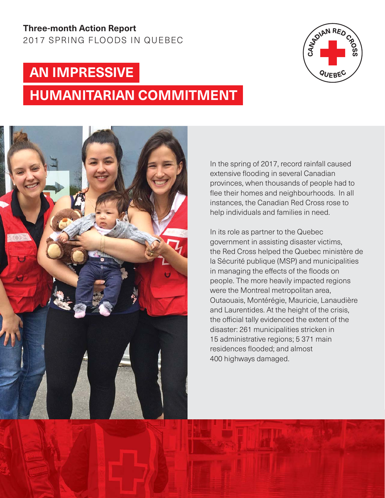### **Three-month Action Report**  2017 SPRING FLOODS IN QUEBEC

### **AN IMPRESSIVE**

# **HUMANITARIAN COMMITMENT**





In the spring of 2017, record rainfall caused extensive flooding in several Canadian provinces, when thousands of people had to flee their homes and neighbourhoods. In all instances, the Canadian Red Cross rose to help individuals and families in need.

In its role as partner to the Quebec government in assisting disaster victims, the Red Cross helped the Quebec ministère de la Sécurité publique (MSP) and municipalities in managing the effects of the floods on people. The more heavily impacted regions were the Montreal metropolitan area, Outaouais, Montérégie, Mauricie, Lanaudière and Laurentides. At the height of the crisis, the official tally evidenced the extent of the disaster: 261 municipalities stricken in 15 administrative regions; 5 371 main residences flooded; and almost 400 highways damaged.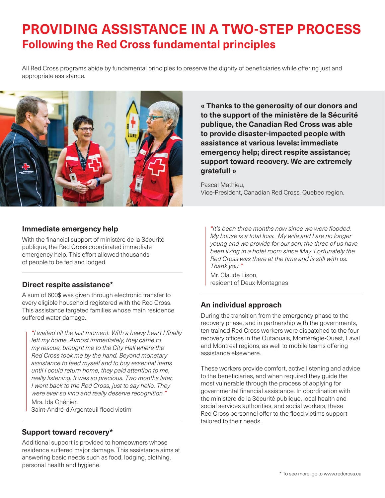### **PROVIDING ASSISTANCE IN A TWO-STEP PROCESS Following the Red Cross fundamental principles**

All Red Cross programs abide by fundamental principles to preserve the dignity of beneficiaries while offering just and appropriate assistance.



**« Thanks to the generosity of our donors and to the support of the ministère de la Sécurité publique, the Canadian Red Cross was able to provide disaster-impacted people with assistance at various levels: immediate emergency help; direct respite assistance; support toward recovery. We are extremely grateful! »** 

Pascal Mathieu, Vice-President, Canadian Red Cross, Quebec region.

#### **Immediate emergency help**

With the financial support of ministère de la Sécurité publique, the Red Cross coordinated immediate emergency help. This effort allowed thousands of people to be fed and lodged.

#### **Direct respite assistance\***

A sum of 600\$ was given through electronic transfer to every eligible household registered with the Red Cross. This assistance targeted families whose main residence suffered water damage.

*"I waited till the last moment. With a heavy heart I* fi*nally left my home. Almost immediately, they came to my rescue, brought me to the City Hall where the Red Cross took me by the hand. Beyond monetary assistance to feed myself and to buy essential items until I could return home, they paid attention to me, really listening. It was so precious. Two months later, I went back to the Red Cross, just to say hello. They were ever so kind and really deserve recognition."* Mrs. Ida Chénier,

Saint-André-d'Argenteuil flood victim

#### **Support toward recovery\***

Additional support is provided to homeowners whose residence suffered major damage. This assistance aims at answering basic needs such as food, lodging, clothing, personal health and hygiene.

*"It's been three months now since we were* fl*ooded. My house is a total loss. My wife and I are no longer young and we provide for our son; the three of us have been living in a hotel room since May. Fortunately the Red Cross was there at the time and is still with us. Thank you."*

Mr. Claude Lison, resident of Deux-Montagnes

### **An individual approach**

During the transition from the emergency phase to the recovery phase, and in partnership with the governments, ten trained Red Cross workers were dispatched to the four recovery offices in the Outaouais, Montérégie-Ouest, Laval and Montreal regions, as well to mobile teams offering assistance elsewhere.

These workers provide comfort, active listening and advice to the beneficiaries, and when required they guide the most vulnerable through the process of applying for governmental financial assistance. In coordination with the ministère de la Sécurité publique, local health and social services authorities, and social workers, these Red Cross personnel offer to the flood victims support tailored to their needs.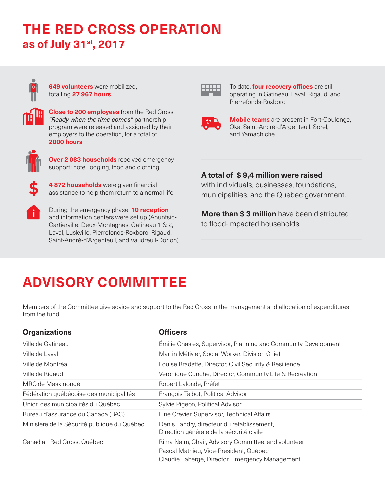## **THE RED CROSS OPERATION as of July 31st, 2017**



**649 volunteers** were mobilized, totalling **27 967 hours**



**Close to 200 employees** from the Red Cross *"Ready when the time comes"* partnership program were released and assigned by their employers to the operation, for a total of **2000 hours**



**Over 2 083 households** received emergency support: hotel lodging, food and clothing



**4 872 households** were given financial assistance to help them return to a normal life



During the emergency phase, **10 reception** and information centers were set up (Ahuntsic-Cartierville, Deux-Montagnes, Gatineau 1 & 2, Laval, Luskville, Pierrefonds-Roxboro, Rigaud, Saint-André-d'Argenteuil, and Vaudreuil-Dorion)



To date, **four recovery offices** are still operating in Gatineau, Laval, Rigaud, and Pierrefonds-Roxboro



**Mobile teams** are present in Fort-Coulonge, Oka, Saint-André-d'Argenteuil, Sorel, and Yamachiche.

### **A total of \$ 9,4 million were raised**

with individuals, businesses, foundations, municipalities, and the Quebec government.

**More than \$ 3 million** have been distributed to flood-impacted households.

# **ADVISORY COMMITTEE**

Members of the Committee give advice and support to the Red Cross in the management and allocation of expenditures from the fund.

| <b>Organizations</b>                        | <b>Officers</b>                                                                                                                                  |
|---------------------------------------------|--------------------------------------------------------------------------------------------------------------------------------------------------|
| Ville de Gatineau                           | Emilie Chasles, Supervisor, Planning and Community Development                                                                                   |
| Ville de Laval                              | Martin Métivier, Social Worker, Division Chief                                                                                                   |
| Ville de Montréal                           | Louise Bradette, Director, Civil Security & Resilience                                                                                           |
| Ville de Rigaud                             | Véronique Cunche, Director, Community Life & Recreation                                                                                          |
| MRC de Maskinongé                           | Robert Lalonde, Préfet                                                                                                                           |
| Fédération québécoise des municipalités     | François Talbot, Political Advisor                                                                                                               |
| Union des municipalités du Québec           | Sylvie Pigeon, Political Advisor                                                                                                                 |
| Bureau d'assurance du Canada (BAC)          | Line Crevier, Supervisor, Technical Affairs                                                                                                      |
| Ministère de la Sécurité publique du Québec | Denis Landry, directeur du rétablissement,<br>Direction générale de la sécurité civile                                                           |
| Canadian Red Cross, Québec                  | Rima Naim, Chair, Advisory Committee, and volunteer<br>Pascal Mathieu, Vice-President, Québec<br>Claudie Laberge, Director, Emergency Management |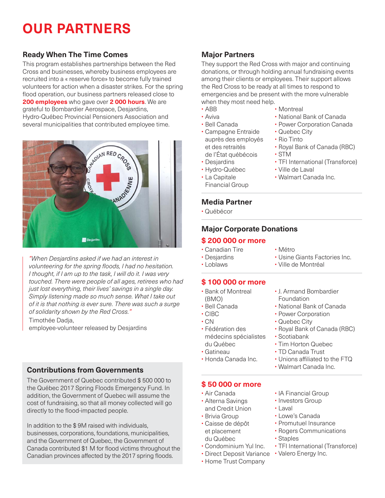# **OUR PARTNERS**

### **Ready When The Time Comes**

This program establishes partnerships between the Red Cross and businesses, whereby business employees are recruited into a « reserve force» to become fully trained volunteers for action when a disaster strikes. For the spring flood operation, our business partners released close to **200 employees** who gave over **2 000 hours**. We are grateful to Bombardier Aerospace, Desjardins, Hydro-Québec Provincial Pensioners Association and several municipalities that contributed employee time.



*"When Desjardins asked if we had an interest in volunteering for the spring* fl*oods, I had no hesitation. I thought, if I am up to the task, I will do it. I was very touched. There were people of all ages, retirees who had just lost everything, their lives' savings in a single day. Simply listening made so much sense. What I take out of it is that nothing is ever sure. There was such a surge of solidarity shown by the Red Cross."*

Timothée Dadja,

employee-volunteer released by Desjardins

### **Contributions from Governments**

The Government of Quebec contributed \$ 500 000 to the Québec 2017 Spring Floods Emergency Fund. In addition, the Government of Quebec will assume the cost of fundraising, so that all money collected will go directly to the flood-impacted people.

In addition to the \$ 9M raised with individuals, businesses, corporations, foundations, municipalities, and the Government of Quebec, the Government of Canada contributed \$1 M for flood victims throughout the Canadian provinces affected by the 2017 spring floods.

### **Major Partners**

They support the Red Cross with major and continuing donations, or through holding annual fundraising events among their clients or employees. Their support allows the Red Cross to be ready at all times to respond to emergencies and be present with the more vulnerable when they most need help.

• Montreal

• Quebec City • Rio Tinto

• Ville de Laval

• Walmart Canada Inc.

• STM

• National Bank of Canada • Power Corporation Canada

• Royal Bank of Canada (RBC)

• TFI International (Transforce)

- ABB
- Aviva
- Bell Canada
- Campagne Entraide auprès des employés et des retraités de l'État québécois
- Desjardins
- Hydro-Québec
- La Capitale Financial Group
- **Media Partner**
- Québécor

### **Major Corporate Donations**

#### **\$ 200 000 or more**

- Canadian Tire
- Métro
- Usine Giants Factories Inc. • Ville de Montréal
- Desjardins • Loblaws

### **\$ 100 000 or more**

- Bank of Montreal (BMO)
- Bell Canada
- CIBC
- CN
- Fédération des médecins spécialistes du Québec
- Gatineau
- Honda Canada Inc.

### **\$ 50 000 or more**

- Air Canada
- Alterna Savings and Credit Union • Brivia Group
- Caisse de dépôt et placement du Québec
- Condominium Yul Inc.
- 
- Home Trust Company
- IA Financial Group
- Investors Group
- Laval
- Lowe's Canada
- Promutuel Insurance
- Rogers Communications • Staples
- TFI International (Transforce)
- Direct Deposit Variance Valero Energy Inc.
- 
- 
- Quebec City
- 
- 
- - Unions affiliated to the FTQ
	-
- Power Corporation

• J. Armand Bombardier

- - Royal Bank of Canada (RBC)
	-
	-
	- TD Canada Trust
		-
	- Walmart Canada Inc.
- Scotiabank
	- Tim Horton Quebec
	-
	-
	-
- National Bank of Canada

Foundation

- 
- -
	- -
		-
- 
- 
-